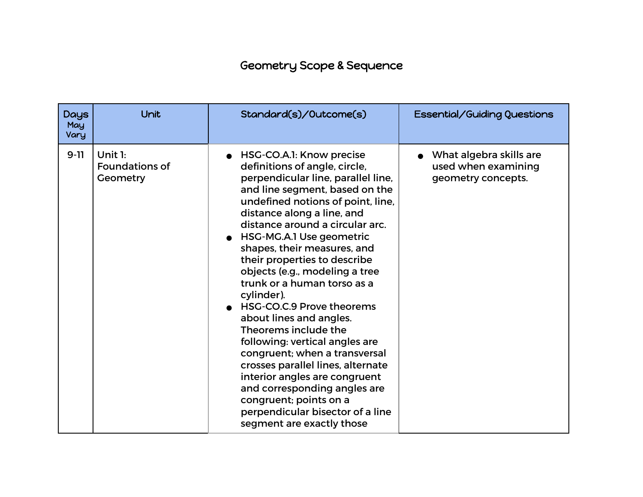## Geometry Scope & Sequence

| <b>Days</b><br>May<br>Vary | Unit                                         | Standard(s)/Outcome(s)                                                                                                                                                                                                                                                                                                                                                                                                                                                                                                                                                                                                                                                                                                                                                | Essential/Guiding Questions                                          |
|----------------------------|----------------------------------------------|-----------------------------------------------------------------------------------------------------------------------------------------------------------------------------------------------------------------------------------------------------------------------------------------------------------------------------------------------------------------------------------------------------------------------------------------------------------------------------------------------------------------------------------------------------------------------------------------------------------------------------------------------------------------------------------------------------------------------------------------------------------------------|----------------------------------------------------------------------|
| $9 - 11$                   | Unit 1:<br><b>Foundations of</b><br>Geometry | HSG-CO.A.1: Know precise<br>definitions of angle, circle,<br>perpendicular line, parallel line,<br>and line segment, based on the<br>undefined notions of point, line,<br>distance along a line, and<br>distance around a circular arc.<br>HSG-MG.A.1 Use geometric<br>shapes, their measures, and<br>their properties to describe<br>objects (e.g., modeling a tree<br>trunk or a human torso as a<br>cylinder).<br>HSG-CO.C.9 Prove theorems<br>about lines and angles.<br>Theorems include the<br>following: vertical angles are<br>congruent; when a transversal<br>crosses parallel lines, alternate<br>interior angles are congruent<br>and corresponding angles are<br>congruent; points on a<br>perpendicular bisector of a line<br>segment are exactly those | What algebra skills are<br>used when examining<br>geometry concepts. |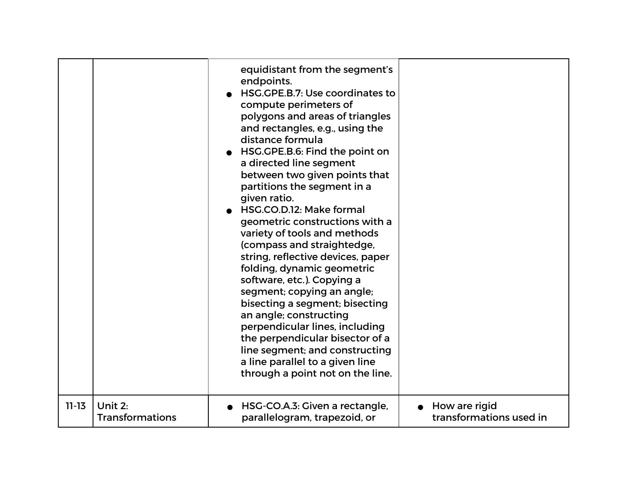|           |                        | equidistant from the segment's<br>endpoints.<br>HSG.GPE.B.7: Use coordinates to<br>compute perimeters of<br>polygons and areas of triangles<br>and rectangles, e.g., using the<br>distance formula<br>HSG.GPE.B.6: Find the point on<br>a directed line segment<br>between two given points that<br>partitions the segment in a<br>given ratio.<br>HSG.CO.D.12: Make formal<br>geometric constructions with a<br>variety of tools and methods<br>(compass and straightedge,<br>string, reflective devices, paper<br>folding, dynamic geometric<br>software, etc.). Copying a<br>segment; copying an angle;<br>bisecting a segment; bisecting<br>an angle; constructing<br>perpendicular lines, including<br>the perpendicular bisector of a<br>line segment; and constructing<br>a line parallel to a given line<br>through a point not on the line. |                         |
|-----------|------------------------|------------------------------------------------------------------------------------------------------------------------------------------------------------------------------------------------------------------------------------------------------------------------------------------------------------------------------------------------------------------------------------------------------------------------------------------------------------------------------------------------------------------------------------------------------------------------------------------------------------------------------------------------------------------------------------------------------------------------------------------------------------------------------------------------------------------------------------------------------|-------------------------|
| $11 - 13$ | Unit 2:                | HSG-CO.A.3: Given a rectangle,                                                                                                                                                                                                                                                                                                                                                                                                                                                                                                                                                                                                                                                                                                                                                                                                                       | $\bullet$ How are rigid |
|           | <b>Transformations</b> | parallelogram, trapezoid, or                                                                                                                                                                                                                                                                                                                                                                                                                                                                                                                                                                                                                                                                                                                                                                                                                         | transformations used in |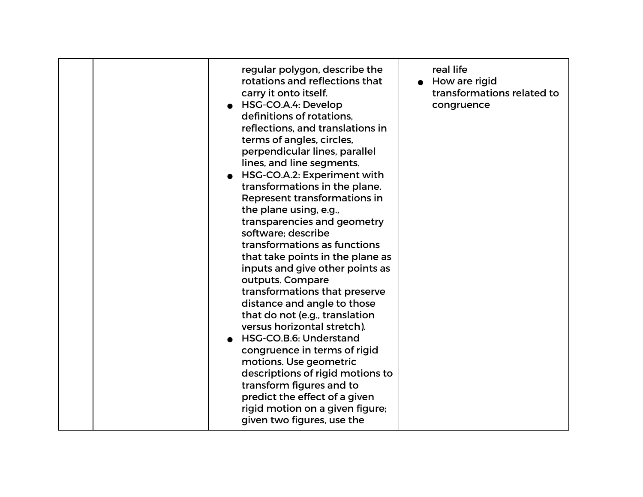| regular polygon, describe the<br>rotations and reflections that<br>carry it onto itself.<br>HSG-CO.A.4: Develop<br>definitions of rotations.<br>reflections, and translations in<br>terms of angles, circles,<br>perpendicular lines, parallel<br>lines, and line segments.<br>HSG-CO.A.2: Experiment with<br>transformations in the plane.<br>Represent transformations in<br>the plane using, e.g.,<br>transparencies and geometry<br>software; describe<br>transformations as functions<br>that take points in the plane as<br>inputs and give other points as<br>outputs. Compare<br>transformations that preserve<br>distance and angle to those<br>that do not (e.g., translation<br>versus horizontal stretch).<br>HSG-CO.B.6: Understand<br>congruence in terms of rigid<br>motions. Use geometric<br>descriptions of rigid motions to<br>transform figures and to<br>predict the effect of a given<br>rigid motion on a given figure;<br>given two figures, use the | real life<br>How are rigid<br>transformations related to<br>congruence |
|------------------------------------------------------------------------------------------------------------------------------------------------------------------------------------------------------------------------------------------------------------------------------------------------------------------------------------------------------------------------------------------------------------------------------------------------------------------------------------------------------------------------------------------------------------------------------------------------------------------------------------------------------------------------------------------------------------------------------------------------------------------------------------------------------------------------------------------------------------------------------------------------------------------------------------------------------------------------------|------------------------------------------------------------------------|
|------------------------------------------------------------------------------------------------------------------------------------------------------------------------------------------------------------------------------------------------------------------------------------------------------------------------------------------------------------------------------------------------------------------------------------------------------------------------------------------------------------------------------------------------------------------------------------------------------------------------------------------------------------------------------------------------------------------------------------------------------------------------------------------------------------------------------------------------------------------------------------------------------------------------------------------------------------------------------|------------------------------------------------------------------------|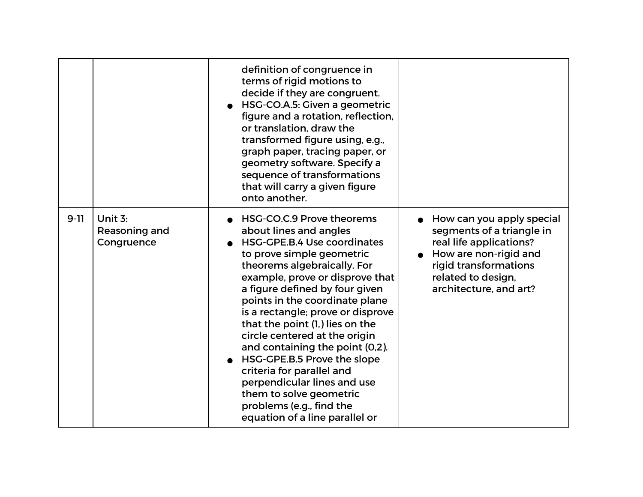|          |                                        | definition of congruence in<br>terms of rigid motions to<br>decide if they are congruent.<br>HSG-CO.A.5: Given a geometric<br>figure and a rotation, reflection,<br>or translation, draw the<br>transformed figure using, e.g.,<br>graph paper, tracing paper, or<br>geometry software. Specify a<br>sequence of transformations<br>that will carry a given figure<br>onto another.                                                                                                                                                                                                          |                                                                                                                                                                                     |
|----------|----------------------------------------|----------------------------------------------------------------------------------------------------------------------------------------------------------------------------------------------------------------------------------------------------------------------------------------------------------------------------------------------------------------------------------------------------------------------------------------------------------------------------------------------------------------------------------------------------------------------------------------------|-------------------------------------------------------------------------------------------------------------------------------------------------------------------------------------|
| $9 - 11$ | Unit 3:<br>Reasoning and<br>Congruence | HSG-CO.C.9 Prove theorems<br>about lines and angles<br><b>HSG-GPE.B.4 Use coordinates</b><br>to prove simple geometric<br>theorems algebraically. For<br>example, prove or disprove that<br>a figure defined by four given<br>points in the coordinate plane<br>is a rectangle; prove or disprove<br>that the point (1,) lies on the<br>circle centered at the origin<br>and containing the point (0,2).<br>HSG-GPE.B.5 Prove the slope<br>criteria for parallel and<br>perpendicular lines and use<br>them to solve geometric<br>problems (e.g., find the<br>equation of a line parallel or | How can you apply special<br>segments of a triangle in<br>real life applications?<br>How are non-rigid and<br>rigid transformations<br>related to design,<br>architecture, and art? |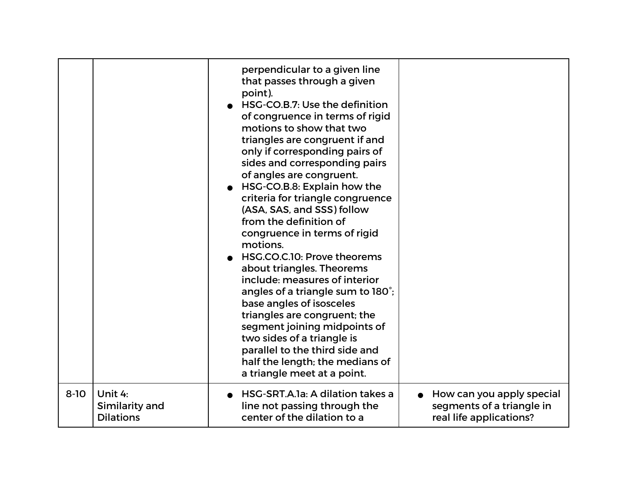|          |                  | perpendicular to a given line<br>that passes through a given<br>point).<br>HSG-CO.B.7: Use the definition<br>of congruence in terms of rigid<br>motions to show that two<br>triangles are congruent if and<br>only if corresponding pairs of<br>sides and corresponding pairs<br>of angles are congruent.<br>HSG-CO.B.8: Explain how the<br>criteria for triangle congruence<br>(ASA, SAS, and SSS) follow<br>from the definition of<br>congruence in terms of rigid<br>motions.<br>HSG.CO.C.10: Prove theorems<br>about triangles. Theorems<br>include: measures of interior<br>angles of a triangle sum to 180°;<br>base angles of isosceles<br>triangles are congruent; the<br>segment joining midpoints of<br>two sides of a triangle is<br>parallel to the third side and<br>half the length; the medians of<br>a triangle meet at a point. |                           |
|----------|------------------|--------------------------------------------------------------------------------------------------------------------------------------------------------------------------------------------------------------------------------------------------------------------------------------------------------------------------------------------------------------------------------------------------------------------------------------------------------------------------------------------------------------------------------------------------------------------------------------------------------------------------------------------------------------------------------------------------------------------------------------------------------------------------------------------------------------------------------------------------|---------------------------|
| $8 - 10$ | Unit 4:          | HSG-SRT.A.1a: A dilation takes a                                                                                                                                                                                                                                                                                                                                                                                                                                                                                                                                                                                                                                                                                                                                                                                                                 | How can you apply special |
|          | Similarity and   | line not passing through the                                                                                                                                                                                                                                                                                                                                                                                                                                                                                                                                                                                                                                                                                                                                                                                                                     | segments of a triangle in |
|          | <b>Dilations</b> | center of the dilation to a                                                                                                                                                                                                                                                                                                                                                                                                                                                                                                                                                                                                                                                                                                                                                                                                                      | real life applications?   |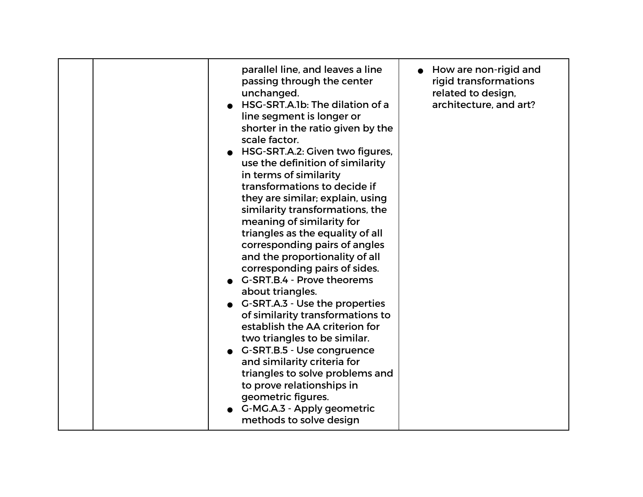| parallel line, and leaves a line<br>passing through the center<br>unchanged.<br>HSG-SRT.A.1b: The dilation of a<br>line segment is longer or<br>shorter in the ratio given by the<br>scale factor.<br>HSG-SRT.A.2: Given two figures,<br>use the definition of similarity<br>in terms of similarity<br>transformations to decide if<br>they are similar; explain, using<br>similarity transformations, the<br>meaning of similarity for<br>triangles as the equality of all<br>corresponding pairs of angles<br>and the proportionality of all<br>corresponding pairs of sides.<br>G-SRT.B.4 - Prove theorems<br>about triangles.<br>G-SRT.A.3 - Use the properties<br>of similarity transformations to<br>establish the AA criterion for<br>two triangles to be similar.<br>G-SRT.B.5 - Use congruence<br>and similarity criteria for<br>triangles to solve problems and<br>to prove relationships in<br>geometric figures.<br>G-MG.A.3 - Apply geometric<br>methods to solve design | $\bullet$ How are non-rigid and<br>rigid transformations<br>related to design,<br>architecture, and art? |
|---------------------------------------------------------------------------------------------------------------------------------------------------------------------------------------------------------------------------------------------------------------------------------------------------------------------------------------------------------------------------------------------------------------------------------------------------------------------------------------------------------------------------------------------------------------------------------------------------------------------------------------------------------------------------------------------------------------------------------------------------------------------------------------------------------------------------------------------------------------------------------------------------------------------------------------------------------------------------------------|----------------------------------------------------------------------------------------------------------|
|---------------------------------------------------------------------------------------------------------------------------------------------------------------------------------------------------------------------------------------------------------------------------------------------------------------------------------------------------------------------------------------------------------------------------------------------------------------------------------------------------------------------------------------------------------------------------------------------------------------------------------------------------------------------------------------------------------------------------------------------------------------------------------------------------------------------------------------------------------------------------------------------------------------------------------------------------------------------------------------|----------------------------------------------------------------------------------------------------------|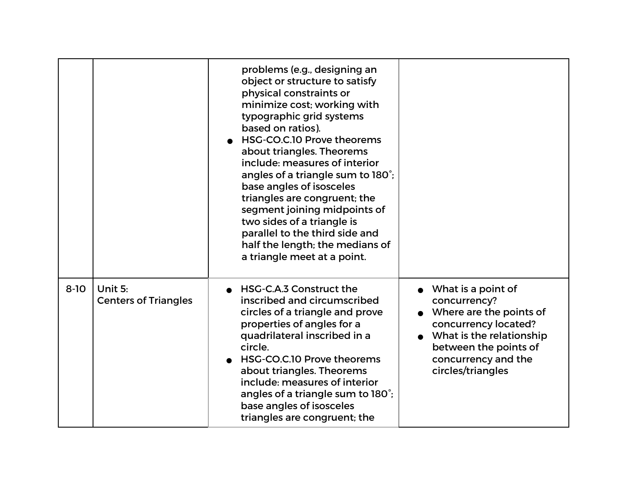|          |                                        | problems (e.g., designing an<br>object or structure to satisfy<br>physical constraints or<br>minimize cost; working with<br>typographic grid systems<br>based on ratios).<br>HSG-CO.C.10 Prove theorems<br>about triangles. Theorems<br>include: measures of interior<br>angles of a triangle sum to 180°;<br>base angles of isosceles<br>triangles are congruent; the<br>segment joining midpoints of<br>two sides of a triangle is<br>parallel to the third side and<br>half the length; the medians of<br>a triangle meet at a point. |                                                                                                                                                                                        |
|----------|----------------------------------------|------------------------------------------------------------------------------------------------------------------------------------------------------------------------------------------------------------------------------------------------------------------------------------------------------------------------------------------------------------------------------------------------------------------------------------------------------------------------------------------------------------------------------------------|----------------------------------------------------------------------------------------------------------------------------------------------------------------------------------------|
| $8 - 10$ | Unit 5:<br><b>Centers of Triangles</b> | HSG-C.A.3 Construct the<br>inscribed and circumscribed<br>circles of a triangle and prove<br>properties of angles for a<br>quadrilateral inscribed in a<br>circle.<br>HSG-CO.C.10 Prove theorems<br>about triangles. Theorems<br>include: measures of interior<br>angles of a triangle sum to 180°;<br>base angles of isosceles<br>triangles are congruent; the                                                                                                                                                                          | What is a point of<br>concurrency?<br>Where are the points of<br>concurrency located?<br>What is the relationship<br>between the points of<br>concurrency and the<br>circles/triangles |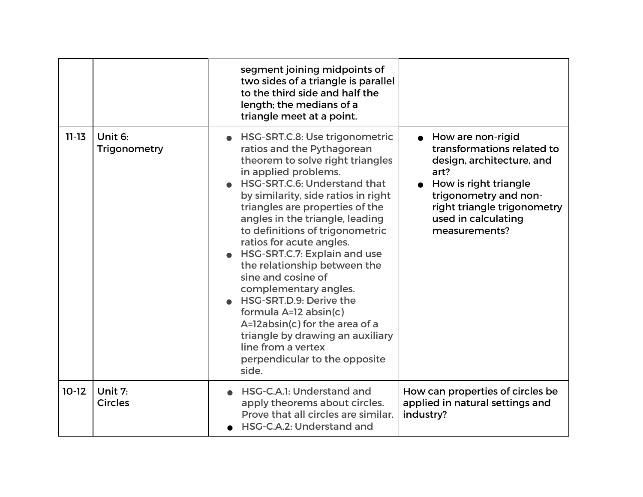|           |                           | segment joining midpoints of<br>two sides of a triangle is parallel<br>to the third side and half the<br>length; the medians of a<br>triangle meet at a point.                                                                                                                                                                                                                                                                                                                                                                                                                                                                                |                                                                                                                                                                                                                 |
|-----------|---------------------------|-----------------------------------------------------------------------------------------------------------------------------------------------------------------------------------------------------------------------------------------------------------------------------------------------------------------------------------------------------------------------------------------------------------------------------------------------------------------------------------------------------------------------------------------------------------------------------------------------------------------------------------------------|-----------------------------------------------------------------------------------------------------------------------------------------------------------------------------------------------------------------|
| $11 - 13$ | Unit 6:<br>Trigonometry   | HSG-SRT.C.8: Use trigonometric<br>ratios and the Pythagorean<br>theorem to solve right triangles<br>in applied problems.<br>HSG-SRT.C.6: Understand that<br>by similarity, side ratios in right<br>triangles are properties of the<br>angles in the triangle, leading<br>to definitions of trigonometric<br>ratios for acute angles.<br>HSG-SRT.C.7: Explain and use<br>the relationship between the<br>sine and cosine of<br>complementary angles.<br>HSG-SRT.D.9: Derive the<br>formula A=12 absin(c)<br>A=12absin(c) for the area of a<br>triangle by drawing an auxiliary<br>line from a vertex<br>perpendicular to the opposite<br>side. | • How are non-rigid<br>transformations related to<br>design, architecture, and<br>art?<br>How is right triangle<br>trigonometry and non-<br>right triangle trigonometry<br>used in calculating<br>measurements? |
| $10-12$   | Unit 7:<br><b>Circles</b> | HSG-C.A.1: Understand and<br>apply theorems about circles.<br>Prove that all circles are similar.<br>HSG-C.A.2: Understand and                                                                                                                                                                                                                                                                                                                                                                                                                                                                                                                | How can properties of circles be<br>applied in natural settings and<br>industry?                                                                                                                                |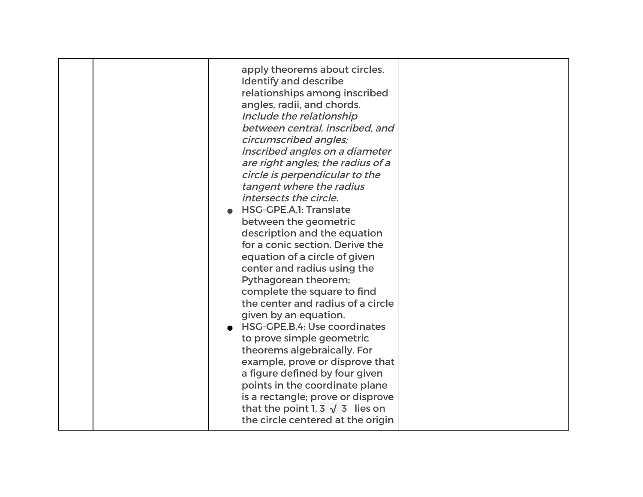| apply theorems about circles.<br><b>Identify and describe</b><br>relationships among inscribed<br>angles, radii, and chords.<br>Include the relationship<br>between central, inscribed, and<br>circumscribed angles;<br>inscribed angles on a diameter<br>are right angles; the radius of a<br>circle is perpendicular to the<br>tangent where the radius<br>intersects the circle.<br>HSG-GPE.A.1: Translate<br>between the geometric<br>description and the equation<br>for a conic section. Derive the<br>equation of a circle of given<br>center and radius using the<br>Pythagorean theorem;<br>complete the square to find<br>the center and radius of a circle<br>given by an equation.<br><b>HSG-GPE.B.4: Use coordinates</b><br>to prove simple geometric<br>theorems algebraically. For<br>example, prove or disprove that<br>a figure defined by four given<br>points in the coordinate plane<br>is a rectangle; prove or disprove |  |
|-----------------------------------------------------------------------------------------------------------------------------------------------------------------------------------------------------------------------------------------------------------------------------------------------------------------------------------------------------------------------------------------------------------------------------------------------------------------------------------------------------------------------------------------------------------------------------------------------------------------------------------------------------------------------------------------------------------------------------------------------------------------------------------------------------------------------------------------------------------------------------------------------------------------------------------------------|--|
| that the point 1, 3 $\sqrt{3}$ lies on<br>the circle centered at the origin                                                                                                                                                                                                                                                                                                                                                                                                                                                                                                                                                                                                                                                                                                                                                                                                                                                                   |  |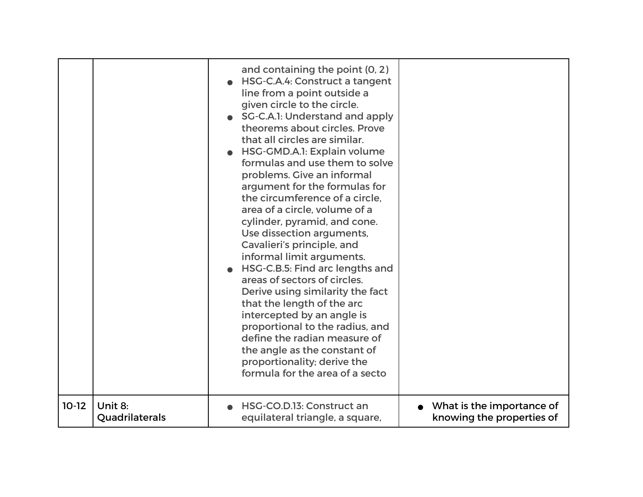|         |                | and containing the point (0, 2)<br>HSG-C.A.4: Construct a tangent<br>line from a point outside a<br>given circle to the circle.<br>SG-C.A.1: Understand and apply<br>theorems about circles. Prove<br>that all circles are similar.<br>HSG-GMD.A.1: Explain volume<br>formulas and use them to solve<br>problems. Give an informal<br>argument for the formulas for<br>the circumference of a circle.<br>area of a circle, volume of a<br>cylinder, pyramid, and cone.<br>Use dissection arguments,<br>Cavalieri's principle, and<br>informal limit arguments.<br>HSG-C.B.5: Find arc lengths and<br>areas of sectors of circles.<br>Derive using similarity the fact<br>that the length of the arc<br>intercepted by an angle is<br>proportional to the radius, and<br>define the radian measure of<br>the angle as the constant of<br>proportionality; derive the<br>formula for the area of a secto |                           |
|---------|----------------|--------------------------------------------------------------------------------------------------------------------------------------------------------------------------------------------------------------------------------------------------------------------------------------------------------------------------------------------------------------------------------------------------------------------------------------------------------------------------------------------------------------------------------------------------------------------------------------------------------------------------------------------------------------------------------------------------------------------------------------------------------------------------------------------------------------------------------------------------------------------------------------------------------|---------------------------|
| $10-12$ | Unit 8:        | HSG-CO.D.13: Construct an                                                                                                                                                                                                                                                                                                                                                                                                                                                                                                                                                                                                                                                                                                                                                                                                                                                                              | What is the importance of |
|         | Quadrilaterals | equilateral triangle, a square,                                                                                                                                                                                                                                                                                                                                                                                                                                                                                                                                                                                                                                                                                                                                                                                                                                                                        | knowing the properties of |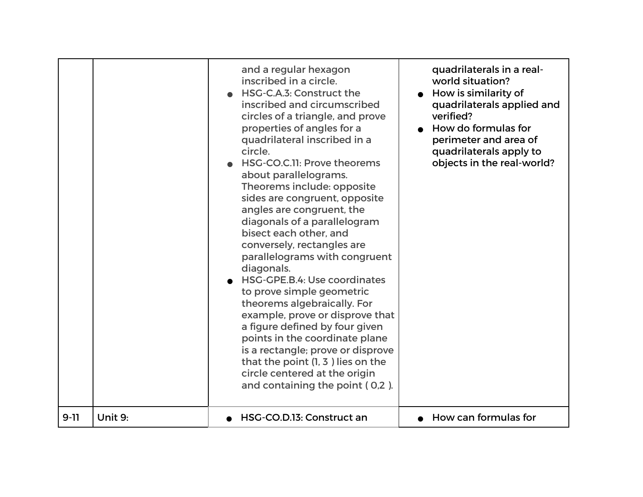|          |         | and a regular hexagon<br>inscribed in a circle.<br>HSG-C.A.3: Construct the<br>inscribed and circumscribed<br>circles of a triangle, and prove<br>properties of angles for a<br>quadrilateral inscribed in a<br>circle.<br>HSG-CO.C.11: Prove theorems<br>about parallelograms.<br>Theorems include: opposite<br>sides are congruent, opposite<br>angles are congruent, the<br>diagonals of a parallelogram<br>bisect each other, and<br>conversely, rectangles are<br>parallelograms with congruent<br>diagonals.<br>HSG-GPE.B.4: Use coordinates<br>to prove simple geometric<br>theorems algebraically. For<br>example, prove or disprove that<br>a figure defined by four given<br>points in the coordinate plane<br>is a rectangle; prove or disprove<br>that the point $(1, 3)$ lies on the<br>circle centered at the origin<br>and containing the point (0,2). | quadrilaterals in a real-<br>world situation?<br>How is similarity of<br>quadrilaterals applied and<br>verified?<br>How do formulas for<br>perimeter and area of<br>quadrilaterals apply to<br>objects in the real-world? |
|----------|---------|-----------------------------------------------------------------------------------------------------------------------------------------------------------------------------------------------------------------------------------------------------------------------------------------------------------------------------------------------------------------------------------------------------------------------------------------------------------------------------------------------------------------------------------------------------------------------------------------------------------------------------------------------------------------------------------------------------------------------------------------------------------------------------------------------------------------------------------------------------------------------|---------------------------------------------------------------------------------------------------------------------------------------------------------------------------------------------------------------------------|
| $9 - 11$ | Unit 9: | HSG-CO.D.13: Construct an                                                                                                                                                                                                                                                                                                                                                                                                                                                                                                                                                                                                                                                                                                                                                                                                                                             | How can formulas for                                                                                                                                                                                                      |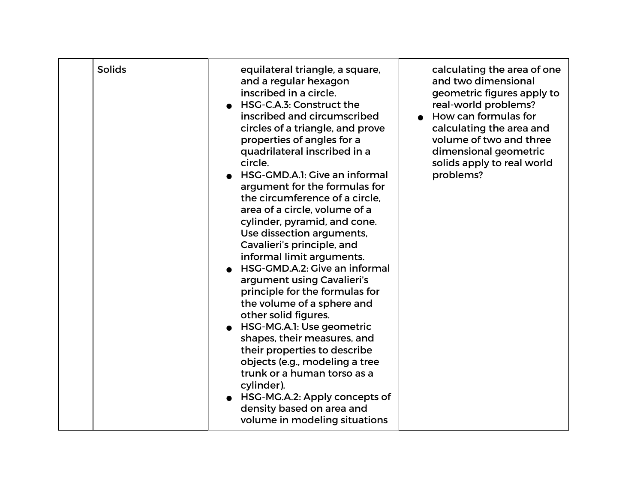| <b>Solids</b> | equilateral triangle, a square,<br>and a regular hexagon<br>inscribed in a circle.<br>HSG-C.A.3: Construct the<br>inscribed and circumscribed<br>circles of a triangle, and prove<br>properties of angles for a<br>quadrilateral inscribed in a<br>circle.<br>• HSG-GMD.A.1: Give an informal<br>argument for the formulas for<br>the circumference of a circle.<br>area of a circle, volume of a<br>cylinder, pyramid, and cone.<br>Use dissection arguments,<br>Cavalieri's principle, and<br>informal limit arguments.<br>HSG-GMD.A.2: Give an informal<br>argument using Cavalieri's<br>principle for the formulas for<br>the volume of a sphere and<br>other solid figures.<br>• HSG-MG.A.1: Use geometric<br>shapes, their measures, and<br>their properties to describe<br>objects (e.g., modeling a tree<br>trunk or a human torso as a<br>cylinder).<br>• HSG-MG.A.2: Apply concepts of<br>density based on area and<br>volume in modeling situations | calculating the area of one<br>and two dimensional<br>geometric figures apply to<br>real-world problems?<br>How can formulas for<br>calculating the area and<br>volume of two and three<br>dimensional geometric<br>solids apply to real world<br>problems? |
|---------------|----------------------------------------------------------------------------------------------------------------------------------------------------------------------------------------------------------------------------------------------------------------------------------------------------------------------------------------------------------------------------------------------------------------------------------------------------------------------------------------------------------------------------------------------------------------------------------------------------------------------------------------------------------------------------------------------------------------------------------------------------------------------------------------------------------------------------------------------------------------------------------------------------------------------------------------------------------------|-------------------------------------------------------------------------------------------------------------------------------------------------------------------------------------------------------------------------------------------------------------|